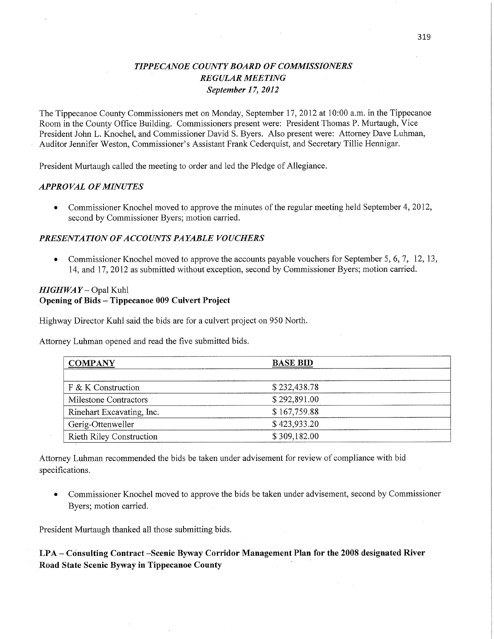## *TIPPECANOE COUNTY BOARD* OF *COMMISSIONERS*  ' *REGULAR MEETING September 1* 7, *2012*

The Tippecanoe County Commissioners met on Monday, September 17, 2012 at 10:00 a.m. in the Tippecanoe Room" in the County Office Building. Commissioners present were: President Thomas P. Murtaugh, Vice President John L. Knochel, and Commissioner David S. Byers. Also present were: Attorney Dave Luhman, Auditor Jennifer Weston, Commissioner's Assistant Frank Cederquist, and Secretary Tillie Hennigar.

President Murtaugh called the meeting to order and led the Pledge of Allegiance.

#### *APPROVAL* OF *MINUTES*

• Commissioner Knochel moved to approve the minutes of the regular meeting held September 4, 2012, second by Commissioner Byers; motion carried.

#### *PRESENTATION* OF *ACCOUNT S PAYABLE VOUCHERS*

• Commissioner Knochel moved to approve the accounts payable vouchers for September 5, 6, 7, 12, 13, 14, and 17, 2012 as submitted without exception, second by **Commissioner** Byers; motion carried.

## *HIGHWAY* **—** Opal Kuhl Opening of **Bids - Tippecanoe** 009 **Culvert Project**

Highway Director Kuhl said the bids are for a culvert project on 950 North.

Attorney Luhman opened and read the five submitted bids.

| <b>COMPANY</b>                  | <b>BASE BID</b> |  |
|---------------------------------|-----------------|--|
|                                 |                 |  |
| $F$ & K Construction            | \$232,438.78    |  |
| Milestone Contractors           | \$292,891.00    |  |
| Rinehart Excavating, Inc.       | \$167,759.88    |  |
| Gerig-Ottenweller               | \$423,933.20    |  |
| <b>Rieth Riley Construction</b> | \$309,182.00    |  |

Attorney **Luhman** recommended the bids be taken under advisement for review of compliance with bid specifications.

**0** Commissioner Knochel moved to approve the bids be **taken** under advisement, second by Commissioner Byers; motion carried.

President Murtaugh thanked all those submitting bids.

**LPA- Consulting Contract —Scenic Byway Corridor Management Plan** for the **2008 designated River Road State Scenic Byway m Tippecanoe County**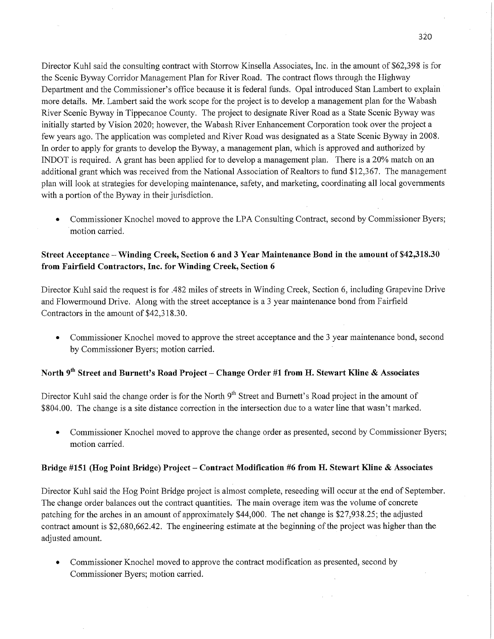Director Kuhl said the consulting contract with Storrow Kinsella Associates, Inc. in the amount of \$62,398 is for the Scenic Byway Corridor Management Plan for River Road. The contract flows through the Highway Department and the Commissioner's office because it is federal funds. Opal introduced Stan Lambert to explain more details. Mr. Lambert said the work scope for the project is to develop a management plan for the Wabash River Scenic Byway in Tippecanoe County. The project to designate River Road as a State Scenic Byway was initially started by Vision 2020; however, the Wabash River Enhancement Corporation took over the project <sup>a</sup> few years ago. The application was completed and River Road was designated as a State Scenic Byway in 2008. In order to apply for grants to develop the Byway, a management plan, which is approved and authorized by INDOT is required. A grant has been applied for to develop a management plan. There is a 20% match on an additional grant which was received from the National Association of Realtors to **fund** \$12,367. The managemen<sup>t</sup> <sup>p</sup>lan Will look at strategies for developing maintenance, safety, and marketing, coordinating all local governments with a portion of the Byway in their jurisdiction.

**0** Commissioner Knochel moved to approve the LPA Consulting Contract, second by Commissioner Byers; motion carried.

## **Street Acceptance** —- Winding **Creek, Section** 6 and 3 **Year** Maintenance Bond in the **amount** of **\$42,318.30 from** Fairfield **Contractors, Inc.** for Winding **Creek, Section** *6*

Director Kuhl said the request is for .482 **miles** of streets in Winding Creek, Section 6, including Grapevine Drive and Flowermound Drive. Along with the street acceptance is a 3 year maintenance bond from Fairfield Contractors in the amount of \$42,318.30.

**0** Commissioner Knochel moved to approve the street acceptance and the 3 year maintenance bond, second by Commissioner Byers; motion carried. '

## **North** 9"1 **Street** and **Burnett's Road Project** - **Change Order** #1 **from** H. **Stewart** Kline **& Associates**

Director Kuhl said the change order is for the North  $9<sup>th</sup>$  Street and Burnett's Road project in the amount of \$804.00. The change is a site distance correction in the intersection due to a water line that wasn't marked.

**0** Commissioner Knochel moved to approve the change order as presented, second by Commissioner Byers; motion carried.

#### **Bridge #151 (Hog Point** Bridge) **Project** — **Contract Modification** #6 **from** H. **Stewart** Kline **& Associates**

Director Kuhl said the Hog Point Bridge project is almost complete, reseeding will occur at the end of September. The change order balances out the contract quantities. The main overage item was the volume of concrete patching for the arches in an amount of approximately \$44,000. The net change is \$27,938.25; the adjusted contract amount is \$2,680,662.42. The engineering estimate at the beginning of the project was higher than the adjusted amount.

**0** Commissioner Knochel moved to approve the contract modification as presented, second by Commissioner Byers; motion carried.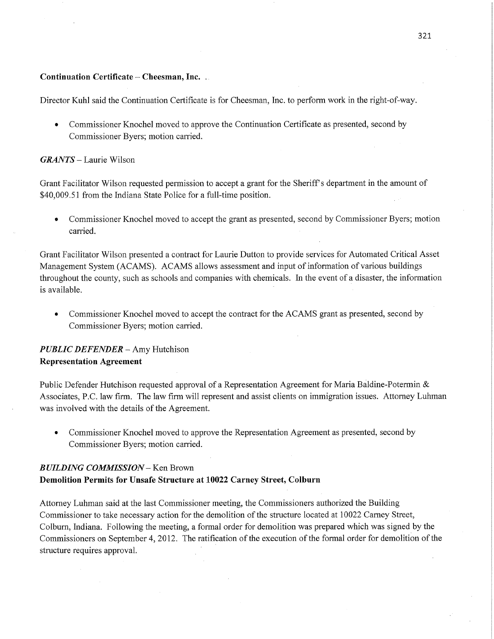#### Continuation Certificate *—* Cheesman, Inc. ..

Director Kuhl said the Continuation Certificate is for Cheesman, Inc. to perform work in the right-of—way.

**0** Commissioner Knochel moved to approve the Continuation Certificate as presented, second by Commissioner Byers; motion carried.

#### *GRANTS —* Laurie Wilson

Grant Facilitator Wilson requested permission to accept a grant for the Sheriff's department in the amount of \$40,009.51 from the Indiana State Police for a full-time position.

**0** Commissioner Knochel moved to accept the grant as presented, second by Commissioner Byers; motion carried. The contract of the contract of the contract of the contract of the contract of the contract of the contract of the contract of the contract of the contract of the contract of the contract of the contract of the c

Grant Facilitator Wilson presented a contract for Laurie Dutton to provide services for Automated Critical Asset Management System (ACAMS). ACAMS allows assessment and input of information of various buildings throughout the county, such as schools and companies with chemicals. In the event of a disaster, the information is available.

**0** Commissioner Knochel moved to accept the contract for the ACAMS grant as presented, second by Commissioner Byers; motion carried.

## *PUBLIC DEFENDER —* Amy Hutchison **Representation Agreement**

Public Defender Hutchison requested approval of a Representation Agreement for Maria Baldine-Potermin  $\&$ Associates, PC. law firm. The law firm will represent and assist clients on immigration issues. Attorney Luhman was involved with the details of the Agreement.

**0** Commissioner Knochel moved to approve the Representation Agreement as presented, second by Commissioner Byers; motion carried.

## *BUILDING COMMISSION* — Ken Brown Demolition Permits for **Unsafe Structure** at **10022 Carney Street, Colburn**

Attorney Luhman said at the last Commissioner meeting, the Commissioners authorized the Building Commissioner to take necessary action for the demolition of the structure located at 10022 Carney Street, Colburn, **Indiana.** Following the meeting, a formal order for demolition was prepared which was signed by the Commissioners on September 4, 2012. The ratification of the execution of the formal order for demolition of the structure requires approval.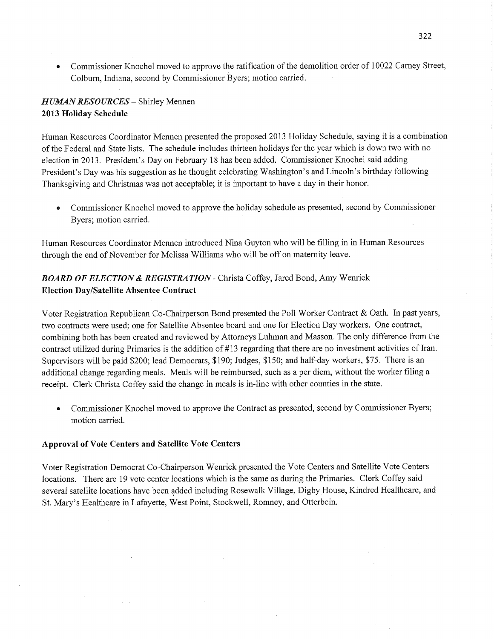**0** Commissioner Knochel moved to approve the ratification of the demolition order of 10022 Carney Street, Colburn, Indiana, second by Commissioner Byers; motion carried.

## *HUMAN RESOURCES* **—** Shirley Mennen **2013 Holiday Schedule**

Human Resources Coordinator Mennen presented the proposed 2013 Holiday Schedule, saying it is a combination of the Federal and State lists. The schedule includes thirteen holidays for the year which is down two with no election in 2013. President's Day on February 18 has been added. Commissioner Knochel said adding President's Day was his suggestion as he thought celebrating Washington's and Lincoln's birthday following Thanksgiving and Christmas was not acceptable; it is important to have **a** day in their honor.

• Commissioner Knochel moved to approve the holiday schedule as presented, second by Commissioner Byers; motion **carried.** '

Human Resources Coordinator Mennen introduced Nina Guyton whé will be filling in in **Human** Resources through the end of November for Melissa Williams who will be off on maternity leave.

## *BOARD* OF *ELECTION & REGISTRATION -* Christa Coffey, Jared Bond, Amy **Wenrick Election Day/Satellite Absentee Contract**

Voter Registration Republican Co-Chairperson **Bond** presented the P011 Worker Contract & **Oath.** In past years, two contracts were used; one for Satellite Absentee board and one for Election Day workers. One contract, combining both has been created and reviewed by Attorneys Luhman and Masson. The only difference from the contract utilized during Primaries is the addition of #13 regarding that there are no investment activities of Iran. Supervisors will be paid \$200; lead Democrats, \$190; Judges, \$150; and half-day workers, \$75. There is an additional change regarding meals. Meals will be reimbursed, such as <sup>a</sup>per diem, Without the worker filing <sup>a</sup> receipt. Clerk Christa Coffey said the change in meals is in-line with other counties in the state.

**0** Commissioner Knochel **moved** to approve the Contract as presented, second by Commissioner Byers; motion carried.

## **Approval** of **Vote Centers** and **Satellite Vote Centers**

Voter Registration Democrat Co-Chairperson Wenrick presented the Vote Centers and Satellite Vote Centers locations. There are 19 vote center locations which is the same as during the Primaries. Clerk Coffey said several satellite locations have been added including Rosewalk Village, Digby House, Kindred Healthcare, and St. Mary's Healthcare in Lafayette, West Point, Stockwell, Romney, and Otterbein.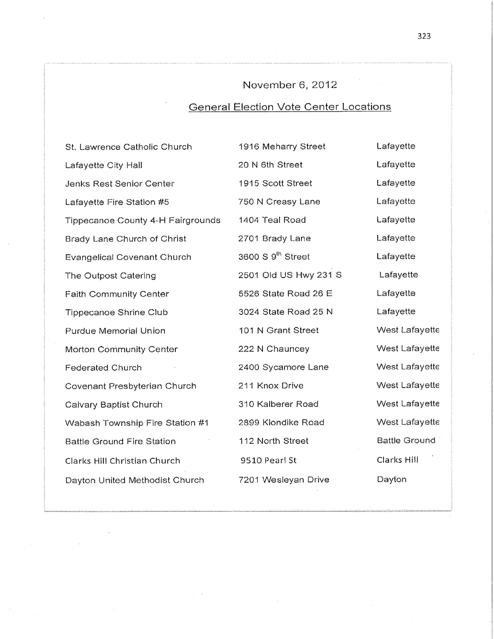# November 6, 2012

# **General Election Vote Center Locations**

| St. Lawrence Catholic Church             | 1916 Meharry Street           | Lafayette            |
|------------------------------------------|-------------------------------|----------------------|
| Lafayette City Hall                      | 20 N 6th Street               | Lafayette            |
| Jenks Rest Senior Center                 | 1915 Scott Street             | Lafayette            |
| Lafayette Fire Station #5                | 750 N Creasy Lane             | Lafayette            |
| <b>Tippecanoe County 4-H Fairgrounds</b> | 1404 Teal Road                | Lafayette            |
| Brady Lane Church of Christ              | 2701 Brady Lane               | Lafayette            |
| <b>Evangelical Covenant Church</b>       | 3600 S 9 <sup>th</sup> Street | Lafayette            |
| The Outpost Catering                     | 2501 Old US Hwy 231 S         | Lafayette            |
| <b>Faith Community Center</b>            | 5526 State Road 26 E          | Lafayette            |
| <b>Tippecanoe Shrine Club</b>            | 3024 State Road 25 N          | Lafayette            |
| <b>Purdue Memorial Union</b>             | 101 N Grant Street            | West Lafayette       |
| <b>Morton Community Center</b>           | 222 N Chauncey                | West Lafayette       |
| <b>Federated Church</b>                  | 2400 Sycamore Lane            | West Lafayette       |
| <b>Covenant Presbyterian Church</b>      | 211 Knox Drive                | West Lafayette       |
| Calvary Baptist Church                   | 310 Kalberer Road             | West Lafayette       |
| Wabash Township Fire Station #1          | 2899 Klondike Road            | West Lafayette       |
| <b>Battle Ground Fire Station</b>        | 112 North Street              | <b>Battle Ground</b> |
| Clarks Hill Christian Church             | 9510 Pearl St                 | Clarks Hill          |
| Dayton United Methodist Church           | 7201 Wesleyan Drive           | Dayton               |
|                                          |                               |                      |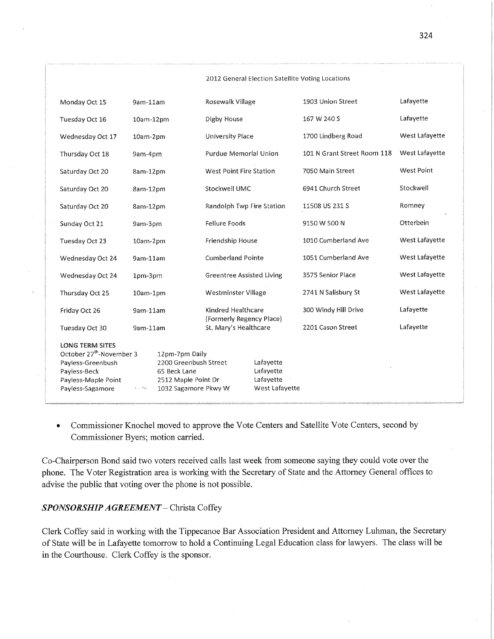|                                                                                                                                                |                        |                                                                                                        | 2012 General Election Satellite Voting Locations             |                                                       |                             |                   |  |
|------------------------------------------------------------------------------------------------------------------------------------------------|------------------------|--------------------------------------------------------------------------------------------------------|--------------------------------------------------------------|-------------------------------------------------------|-----------------------------|-------------------|--|
| Monday Oct 15                                                                                                                                  | 9am-11am               |                                                                                                        | Rosewalk Village                                             |                                                       | 1903 Union Street           | Lafayette         |  |
| Tuesday Oct 16                                                                                                                                 | 10am-12pm              |                                                                                                        | Digby House                                                  |                                                       | 167 W 240 S                 | Lafayette         |  |
| Wednesday Oct 17                                                                                                                               | 10am-2pm               |                                                                                                        | <b>University Place</b>                                      |                                                       | 1700 Lindberg Road          | West Lafayette    |  |
| Thursday Oct 18                                                                                                                                | 9am-4pm                |                                                                                                        | Purdue Memorial Union                                        |                                                       | 101 N Grant Street Room 118 | West Lafayette    |  |
| Saturday Oct 20                                                                                                                                | 8am-12pm               |                                                                                                        | West Point Fire Station                                      |                                                       | 7050 Main Street            | <b>West Point</b> |  |
| Saturday Oct 20                                                                                                                                | 8am-12pm               |                                                                                                        | Stockwell UMC                                                |                                                       | 6941 Church Street          | Stockwell         |  |
| Saturday Oct 20                                                                                                                                | 8am-12pm               |                                                                                                        | Randolph Twp Fire Station                                    |                                                       | 11508 US 231 S              | Romney            |  |
| Sunday Oct 21                                                                                                                                  | 9am-3pm                |                                                                                                        | <b>Fellure Foods</b>                                         |                                                       | 9150 W 500 N                | Otterbein         |  |
| Tuesday Oct 23                                                                                                                                 | 10am-2pm               |                                                                                                        | Friendship House                                             |                                                       | 1010 Cumberland Ave         | West Lafayette    |  |
| Wednesday Oct 24                                                                                                                               | 9am-11am<br>1pm-3pm    |                                                                                                        | <b>Cumberland Pointe</b><br><b>Greentree Assisted Living</b> |                                                       | 1051 Cumberland Ave         | West Lafayette    |  |
| Wednesday Oct 24                                                                                                                               |                        |                                                                                                        |                                                              |                                                       | 3575 Senior Place           | West Lafayette    |  |
| Thursday Oct 25                                                                                                                                | 10am-1pm               |                                                                                                        | Westminster Village                                          |                                                       | 2741 N Salisbury St         | West Lafayette    |  |
| Friday Oct 26                                                                                                                                  | 9am-11am               |                                                                                                        | Kindred Healthcare<br>(Formerly Regency Place)               |                                                       | 300 Windy Hill Drive        | Lafayette         |  |
| Tuesday Oct 30                                                                                                                                 | 9am-11am               |                                                                                                        | St. Mary's Healthcare                                        |                                                       | 2201 Cason Street           | Lafayette         |  |
| <b>LONG TERM SITES</b><br>October 27 <sup>th</sup> -November 3<br>Payless-Greenbush<br>Payless-Beck<br>Payless-Maple Point<br>Payless-Sagamore | $\epsilon \sim 100\mu$ | 12pm-7pm Daily<br>2200 Greenbush Street<br>65 Beck Lane<br>2512 Maple Point Dr<br>1032 Sagamore Pkwy W |                                                              | Lafayette<br>Lafayette<br>Lafayette<br>West Lafayette |                             |                   |  |

• Commissioner Knochel moved to approve the Vote Centers and Satellite Vote Centers, second by Commissioner Byers; **motion carried.** '

Co-Chairperson Bond said two voters received calls last week from someone saying they could vote over the **<sup>p</sup>hone.** The Voter Registration area is working with the Secretary of State and the Attorney General offices to advise the public that voting over the phone is not possible.

## *SPONSORSHIP AGREEMENT* **—** Christa Coffey

Clerk Coffey said in working with the Tippecanoe Bar Association President and Attorney Luhman, the Secretary of State will be in Lafayette tomorrow to hold a Continuing Legal Education class for lawyers. The class will be in the Courthouse. Clerk Coffey is the sponsor.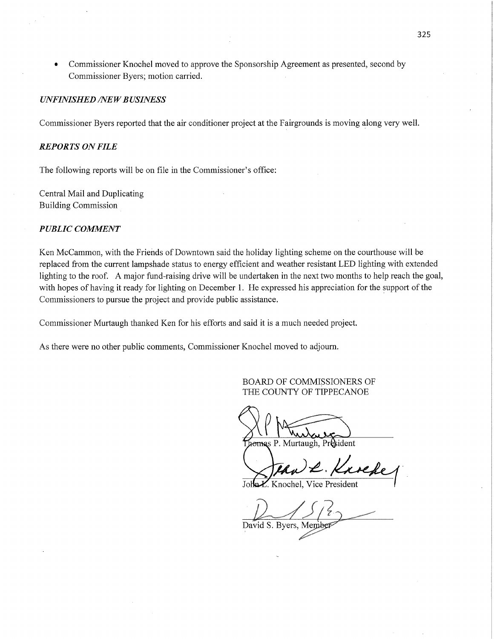*0* Commissioner Knochel moved to approve the Sponsorship Agreement as presented, second by Commissioner Byers; motion carried.

#### *UNFINISHED /NEW BUSINESS*

Commissioner Byers reported that the air conditioner project at the Fairgrounds is moving along very well.

## *REPORTS* ON *FILE*

The following reports will be on file in the Commissioner's office:

Central Mail and Duplicating Building Commission '

#### *PUBLIC COMMENT*

Ken McCammon, with the Friends of Downtown said the holiday lighting scheme on the courthouse will be replaced from the current lampshade status to energy efficient and weather resistant LED lighting with extended lighting to the roof. **A** major fund-raising drive will be undértaken in the next two months to help reach the goal, with hopes of having it ready for lighting on December 1. He expressed his appreciation for the support of the Commissioners to pursue the project and provide public assistance.

Commissioner Murtaugh thanked Ken for his efforts and said it is a much needed project.

As there were no other public comments, Commissioner Knochel moved to adjourn.

BOARD OF COMMISSIONERS OF THE COUNTY OF TIPPECANOE

SP Mussour

*a* a P. Murtaugh, President

 $FAwL$ . Kr

John *L*. Knochel, Vice President

 $\sqrt{1/2}$ 

David S. Byers, Member

325